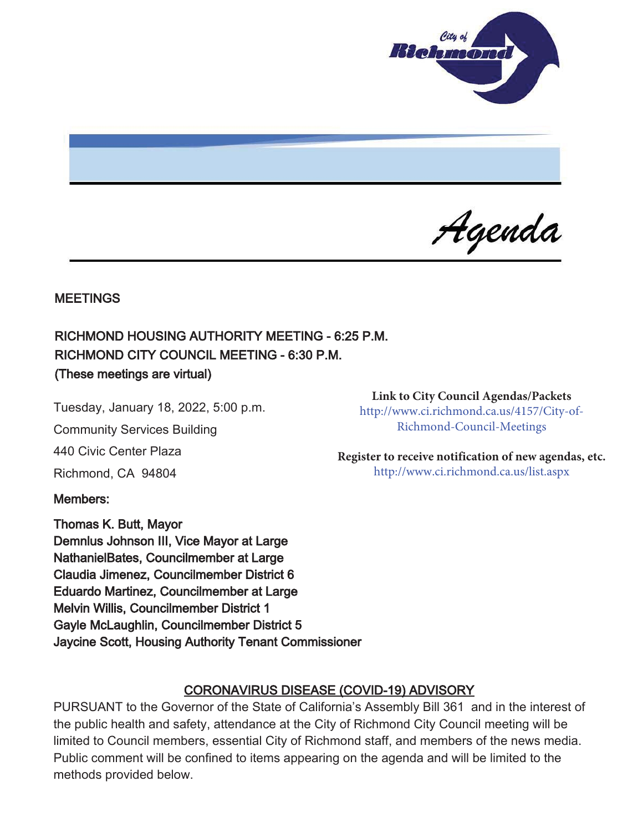

Agenda

### **MEETINGS**

# RICHMOND HOUSING AUTHORITY MEETING - 6:25 P.M. RICHMOND CITY COUNCIL MEETING - 6:30 P.M. (These meetings are virtual)

Tuesday, January 18, 2022, 5:00 p.m.

Community Services Building

440 Civic Center Plaza

Richmond, CA 94804

### Members:

Thomas K. Butt, Mayor Demnlus Johnson III, Vice Mayor at Large NathanielBates, Councilmember at Large Claudia Jimenez, Councilmember District 6 Eduardo Martinez, Councilmember at Large Melvin Willis, Councilmember District 1 Gayle McLaughlin, Councilmember District 5 Jaycine Scott, Housing Authority Tenant Commissioner

**Link to City Council Agendas/Packets** 

http://www.ci.richmond.ca.us/4157/City-of-Richmond-Council-Meetings

**Register to receive notification of new agendas, etc.** http://www.ci.richmond.ca.us/list.aspx

### CORONAVIRUS DISEASE (COVID-19) ADVISORY

PURSUANT to the Governor of the State of California's Assembly Bill 361 and in the interest of the public health and safety, attendance at the City of Richmond City Council meeting will be limited to Council members, essential City of Richmond staff, and members of the news media. Public comment will be confined to items appearing on the agenda and will be limited to the methods provided below.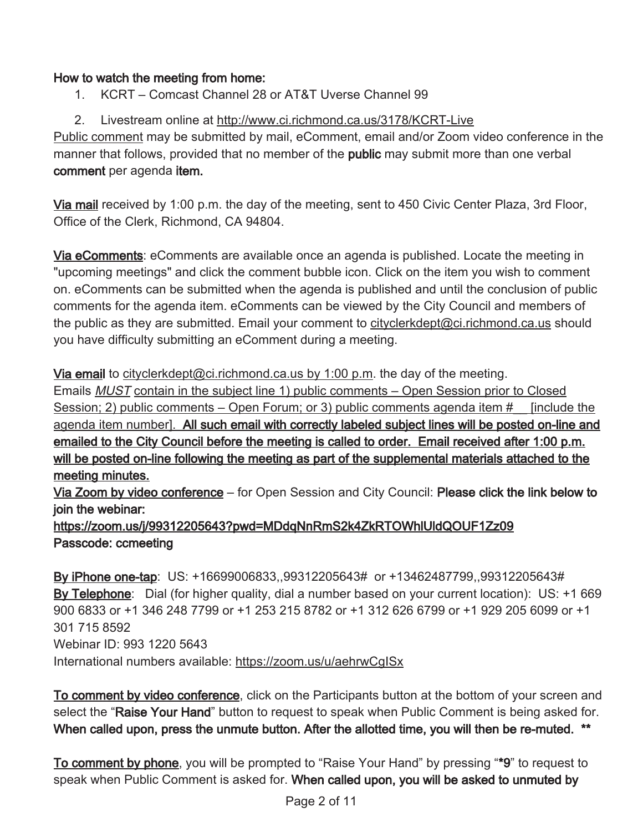### How to watch the meeting from home:

1. KCRT – Comcast Channel 28 or AT&T Uverse Channel 99

## 2. Livestream online at http://www.ci.richmond.ca.us/3178/KCRT-Live

Public comment may be submitted by mail, eComment, email and/or Zoom video conference in the manner that follows, provided that no member of the **public** may submit more than one verbal comment per agenda item.

Via mail received by 1:00 p.m. the day of the meeting, sent to 450 Civic Center Plaza, 3rd Floor, Office of the Clerk, Richmond, CA 94804.

Via eComments: eComments are available once an agenda is published. Locate the meeting in "upcoming meetings" and click the comment bubble icon. Click on the item you wish to comment on. eComments can be submitted when the agenda is published and until the conclusion of public comments for the agenda item. eComments can be viewed by the City Council and members of the public as they are submitted. Email your comment to cityclerkdept@ci.richmond.ca.us should you have difficulty submitting an eComment during a meeting.

Via email to cityclerkdept@ci.richmond.ca.us by 1:00 p.m. the day of the meeting.

Emails MUST contain in the subject line 1) public comments – Open Session prior to Closed Session; 2) public comments – Open Forum; or 3) public comments agenda item  $\#$  [include the agenda item number]. All such email with correctly labeled subject lines will be posted on-line and emailed to the City Council before the meeting is called to order. Email received after 1:00 p.m. will be posted on-line following the meeting as part of the supplemental materials attached to the meeting minutes.

Via Zoom by video conference – for Open Session and City Council: Please click the link below to join the webinar:

# https://zoom.us/j/99312205643?pwd=MDdqNnRmS2k4ZkRTOWhlUldQOUF1Zz09 Passcode: ccmeeting

By iPhone one-tap: US: +16699006833,,99312205643# or +13462487799,,99312205643# By Telephone: Dial (for higher quality, dial a number based on your current location): US: +1 669 900 6833 or +1 346 248 7799 or +1 253 215 8782 or +1 312 626 6799 or +1 929 205 6099 or +1 301 715 8592 Webinar ID: 993 1220 5643 International numbers available: https://zoom.us/u/aehrwCgISx

To comment by video conference, click on the Participants button at the bottom of your screen and select the "Raise Your Hand" button to request to speak when Public Comment is being asked for. When called upon, press the unmute button. After the allotted time, you will then be re-muted. \*\*

To comment by phone, you will be prompted to "Raise Your Hand" by pressing "\*9" to request to speak when Public Comment is asked for. When called upon, you will be asked to unmuted by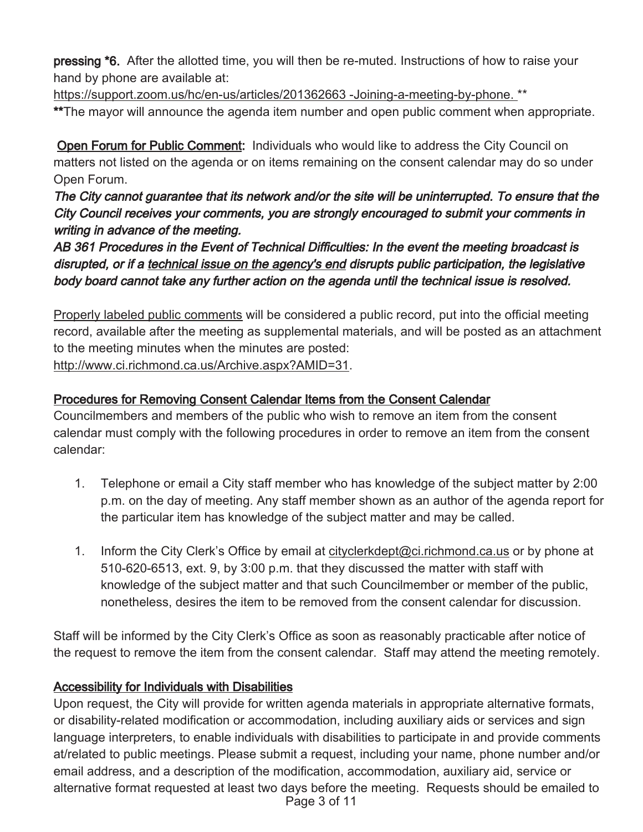pressing \*6. After the allotted time, you will then be re-muted. Instructions of how to raise your hand by phone are available at:

https://support.zoom.us/hc/en-us/articles/201362663 -Joining-a-meeting-by-phone. \*\* \*\*The mayor will announce the agenda item number and open public comment when appropriate.

Open Forum for Public Comment: Individuals who would like to address the City Council on matters not listed on the agenda or on items remaining on the consent calendar may do so under Open Forum.

The City cannot guarantee that its network and/or the site will be uninterrupted. To ensure that the City Council receives your comments, you are strongly encouraged to submit your comments in writing in advance of the meeting.

AB 361 Procedures in the Event of Technical Difficulties: In the event the meeting broadcast is disrupted, or if a technical issue on the agency's end disrupts public participation, the legislative body board cannot take any further action on the agenda until the technical issue is resolved.

Properly labeled public comments will be considered a public record, put into the official meeting record, available after the meeting as supplemental materials, and will be posted as an attachment to the meeting minutes when the minutes are posted: http://www.ci.richmond.ca.us/Archive.aspx?AMID=31.

# Procedures for Removing Consent Calendar Items from the Consent Calendar

Councilmembers and members of the public who wish to remove an item from the consent calendar must comply with the following procedures in order to remove an item from the consent calendar:

- 1. Telephone or email a City staff member who has knowledge of the subject matter by 2:00 p.m. on the day of meeting. Any staff member shown as an author of the agenda report for the particular item has knowledge of the subject matter and may be called.
- 1. Inform the City Clerk's Office by email at cityclerkdept@ci.richmond.ca.us or by phone at 510-620-6513, ext. 9, by 3:00 p.m. that they discussed the matter with staff with knowledge of the subject matter and that such Councilmember or member of the public, nonetheless, desires the item to be removed from the consent calendar for discussion.

Staff will be informed by the City Clerk's Office as soon as reasonably practicable after notice of the request to remove the item from the consent calendar. Staff may attend the meeting remotely.

# Accessibility for Individuals with Disabilities

Upon request, the City will provide for written agenda materials in appropriate alternative formats, or disability-related modification or accommodation, including auxiliary aids or services and sign language interpreters, to enable individuals with disabilities to participate in and provide comments at/related to public meetings. Please submit a request, including your name, phone number and/or email address, and a description of the modification, accommodation, auxiliary aid, service or alternative format requested at least two days before the meeting. Requests should be emailed to Page 3 of 11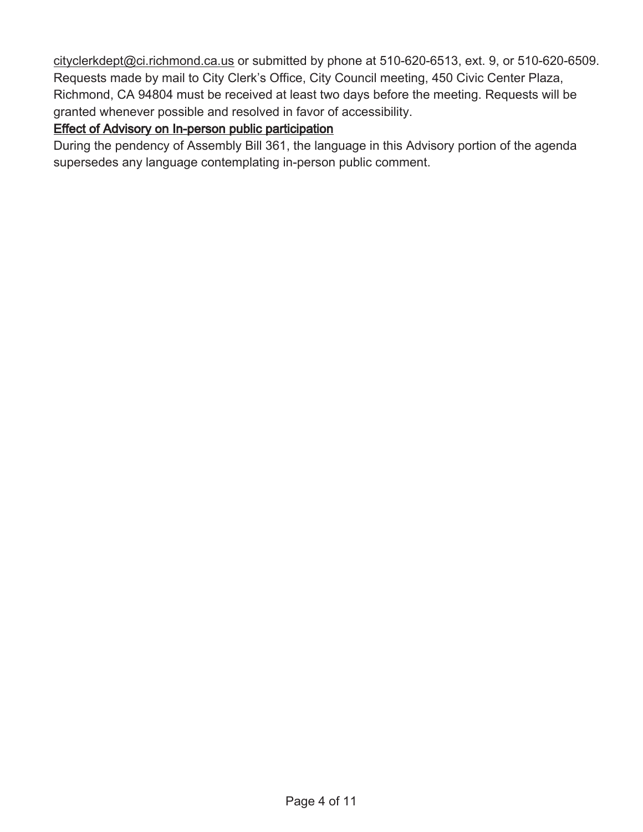cityclerkdept@ci.richmond.ca.us or submitted by phone at 510-620-6513, ext. 9, or 510-620-6509. Requests made by mail to City Clerk's Office, City Council meeting, 450 Civic Center Plaza, Richmond, CA 94804 must be received at least two days before the meeting. Requests will be granted whenever possible and resolved in favor of accessibility.

### Effect of Advisory on In-person public participation

During the pendency of Assembly Bill 361, the language in this Advisory portion of the agenda supersedes any language contemplating in-person public comment.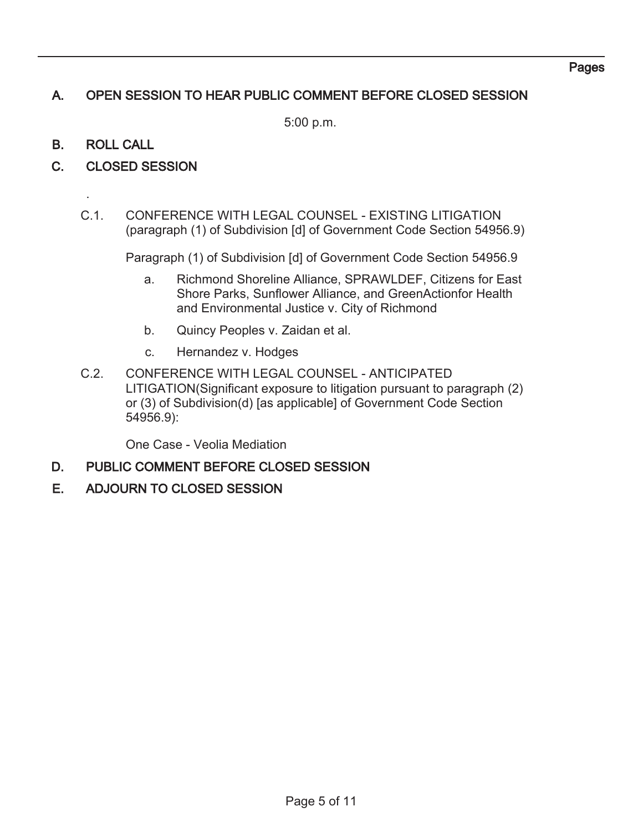### Pages

# A. OPEN SESSION TO HEAR PUBLIC COMMENT BEFORE CLOSED SESSION

5:00 p.m.

### B. ROLL CALL

.

- C. CLOSED SESSION
	- C.1. CONFERENCE WITH LEGAL COUNSEL EXISTING LITIGATION (paragraph (1) of Subdivision [d] of Government Code Section 54956.9)

Paragraph (1) of Subdivision [d] of Government Code Section 54956.9

- a. Richmond Shoreline Alliance, SPRAWLDEF, Citizens for East Shore Parks, Sunflower Alliance, and GreenActionfor Health and Environmental Justice v. City of Richmond
- b. Quincy Peoples v. Zaidan et al.
- c. Hernandez v. Hodges
- C.2. CONFERENCE WITH LEGAL COUNSEL ANTICIPATED LITIGATION(Significant exposure to litigation pursuant to paragraph (2) or (3) of Subdivision(d) [as applicable] of Government Code Section 54956.9):

One Case - Veolia Mediation

- D. PUBLIC COMMENT BEFORE CLOSED SESSION
- E. ADJOURN TO CLOSED SESSION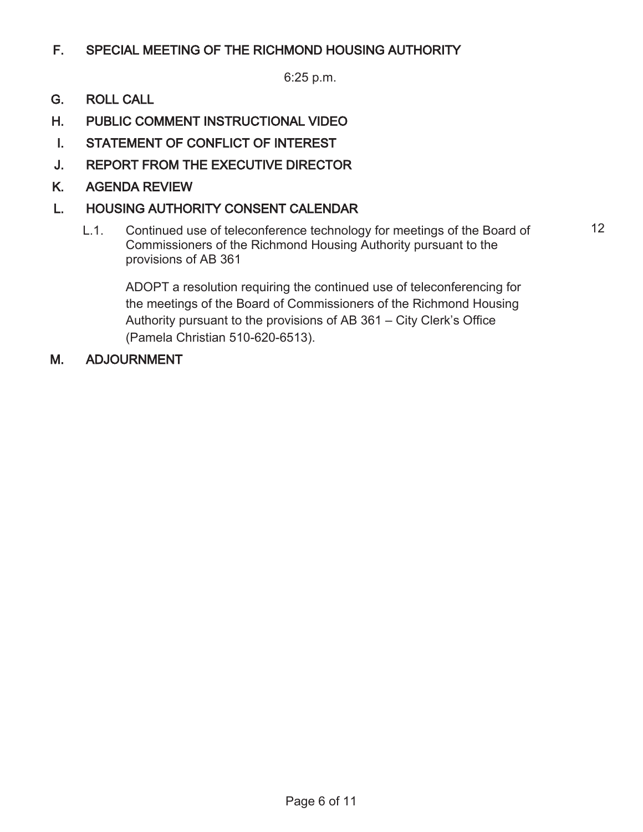# F. SPECIAL MEETING OF THE RICHMOND HOUSING AUTHORITY

6:25 p.m.

- G. ROLL CALL
- H. PUBLIC COMMENT INSTRUCTIONAL VIDEO
- I. STATEMENT OF CONFLICT OF INTEREST
- J. REPORT FROM THE EXECUTIVE DIRECTOR
- K. AGENDA REVIEW

# L. HOUSING AUTHORITY CONSENT CALENDAR

L.1. Continued use of teleconference technology for meetings of the Board of Commissioners of the Richmond Housing Authority pursuant to the provisions of AB 361

12

ADOPT a resolution requiring the continued use of teleconferencing for the meetings of the Board of Commissioners of the Richmond Housing Authority pursuant to the provisions of AB 361 – City Clerk's Office (Pamela Christian 510-620-6513).

### M. ADJOURNMENT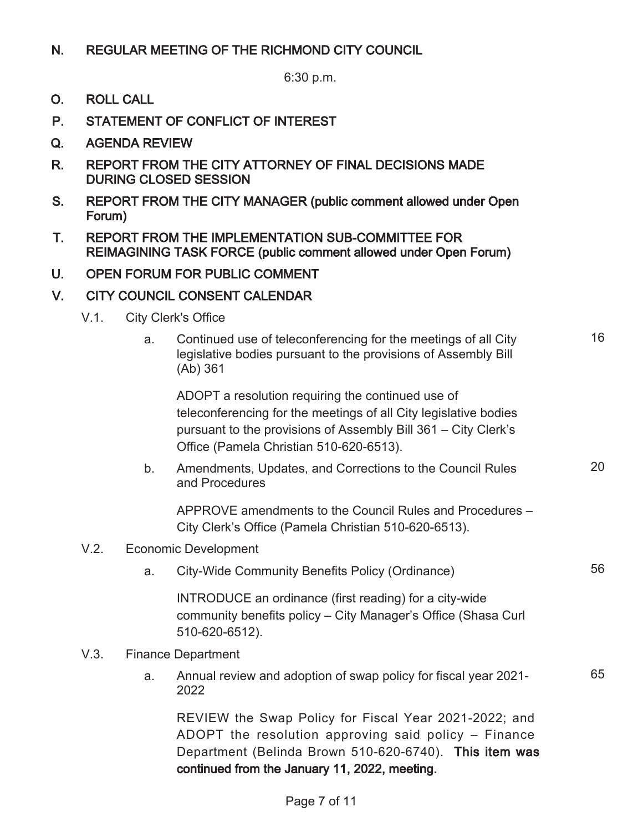### N. REGULAR MEETING OF THE RICHMOND CITY COUNCIL

6:30 p.m.

- O. ROLL CALL
- P. STATEMENT OF CONFLICT OF INTEREST
- Q. AGENDA REVIEW
- R. REPORT FROM THE CITY ATTORNEY OF FINAL DECISIONS MADE DURING CLOSED SESSION
- S. REPORT FROM THE CITY MANAGER (public comment allowed under Open Forum)
- T. REPORT FROM THE IMPLEMENTATION SUB-COMMITTEE FOR REIMAGINING TASK FORCE (public comment allowed under Open Forum)
- U. OPEN FORUM FOR PUBLIC COMMENT

### V. CITY COUNCIL CONSENT CALENDAR

- V.1. City Clerk's Office
	- a. Continued use of teleconferencing for the meetings of all City legislative bodies pursuant to the provisions of Assembly Bill (Ab) 361

16

20

65

ADOPT a resolution requiring the continued use of teleconferencing for the meetings of all City legislative bodies pursuant to the provisions of Assembly Bill 361 – City Clerk's Office (Pamela Christian 510-620-6513).

b. Amendments, Updates, and Corrections to the Council Rules and Procedures

APPROVE amendments to the Council Rules and Procedures – City Clerk's Office (Pamela Christian 510-620-6513).

#### V.2. Economic Development

a. City-Wide Community Benefits Policy (Ordinance) 56

INTRODUCE an ordinance (first reading) for a city-wide community benefits policy – City Manager's Office (Shasa Curl 510-620-6512).

- V.3. Finance Department
	- a. Annual review and adoption of swap policy for fiscal year 2021- 2022

REVIEW the Swap Policy for Fiscal Year 2021-2022; and ADOPT the resolution approving said policy – Finance Department (Belinda Brown 510-620-6740). This item was continued from the January 11, 2022, meeting.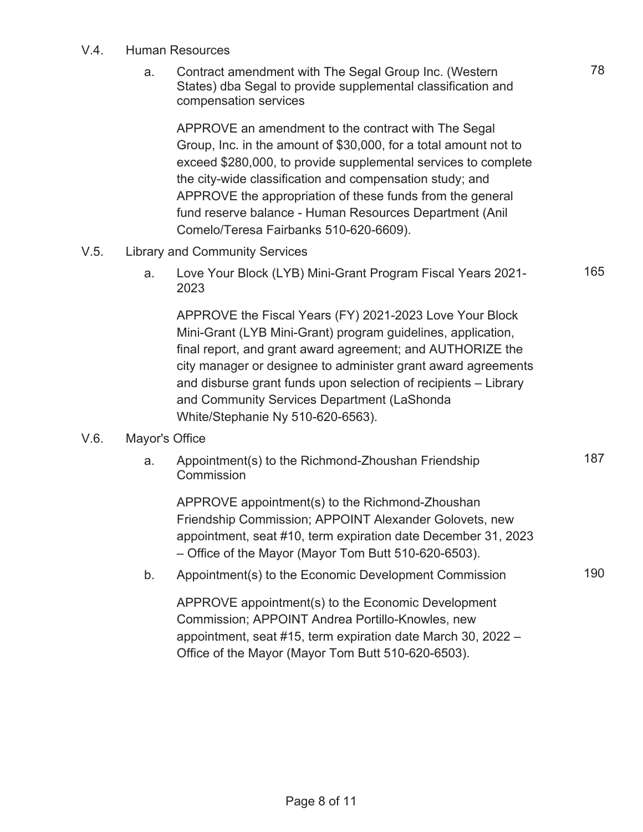#### V.4. Human Resources

a. Contract amendment with The Segal Group Inc. (Western States) dba Segal to provide supplemental classification and compensation services

APPROVE an amendment to the contract with The Segal Group, Inc. in the amount of \$30,000, for a total amount not to exceed \$280,000, to provide supplemental services to complete the city-wide classification and compensation study; and APPROVE the appropriation of these funds from the general fund reserve balance - Human Resources Department (Anil Comelo/Teresa Fairbanks 510-620-6609).

### V.5. Library and Community Services

a. Love Your Block (LYB) Mini-Grant Program Fiscal Years 2021- 2023

APPROVE the Fiscal Years (FY) 2021-2023 Love Your Block Mini-Grant (LYB Mini-Grant) program guidelines, application, final report, and grant award agreement; and AUTHORIZE the city manager or designee to administer grant award agreements and disburse grant funds upon selection of recipients – Library and Community Services Department (LaShonda White/Stephanie Ny 510-620-6563).

### V.6. Mayor's Office

a. Appointment(s) to the Richmond-Zhoushan Friendship **Commission** 

APPROVE appointment(s) to the Richmond-Zhoushan Friendship Commission; APPOINT Alexander Golovets, new appointment, seat #10, term expiration date December 31, 2023 – Office of the Mayor (Mayor Tom Butt 510-620-6503).

b. Appointment(s) to the Economic Development Commission 190

APPROVE appointment(s) to the Economic Development Commission; APPOINT Andrea Portillo-Knowles, new appointment, seat #15, term expiration date March 30, 2022 – Office of the Mayor (Mayor Tom Butt 510-620-6503).

165

187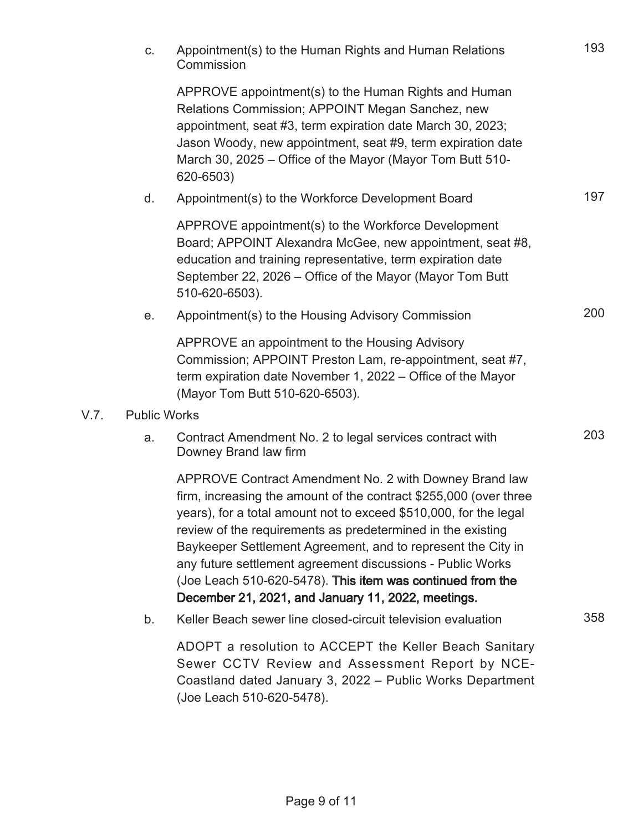|      | C.                  | Appointment(s) to the Human Rights and Human Relations<br>Commission                                                                                                                                                                                                                                                                                                                                                                                                                                              | 193 |
|------|---------------------|-------------------------------------------------------------------------------------------------------------------------------------------------------------------------------------------------------------------------------------------------------------------------------------------------------------------------------------------------------------------------------------------------------------------------------------------------------------------------------------------------------------------|-----|
|      |                     | APPROVE appointment(s) to the Human Rights and Human<br>Relations Commission; APPOINT Megan Sanchez, new<br>appointment, seat #3, term expiration date March 30, 2023;<br>Jason Woody, new appointment, seat #9, term expiration date<br>March 30, 2025 – Office of the Mayor (Mayor Tom Butt 510-<br>620-6503)                                                                                                                                                                                                   |     |
|      | d.                  | Appointment(s) to the Workforce Development Board                                                                                                                                                                                                                                                                                                                                                                                                                                                                 | 197 |
|      |                     | APPROVE appointment(s) to the Workforce Development<br>Board; APPOINT Alexandra McGee, new appointment, seat #8,<br>education and training representative, term expiration date<br>September 22, 2026 – Office of the Mayor (Mayor Tom Butt<br>510-620-6503).                                                                                                                                                                                                                                                     |     |
|      | е.                  | Appointment(s) to the Housing Advisory Commission                                                                                                                                                                                                                                                                                                                                                                                                                                                                 | 200 |
|      |                     | APPROVE an appointment to the Housing Advisory<br>Commission; APPOINT Preston Lam, re-appointment, seat #7,<br>term expiration date November 1, 2022 – Office of the Mayor<br>(Mayor Tom Butt 510-620-6503).                                                                                                                                                                                                                                                                                                      |     |
| V.7. | <b>Public Works</b> |                                                                                                                                                                                                                                                                                                                                                                                                                                                                                                                   |     |
|      | a.                  | Contract Amendment No. 2 to legal services contract with<br>Downey Brand law firm                                                                                                                                                                                                                                                                                                                                                                                                                                 | 203 |
|      |                     | APPROVE Contract Amendment No. 2 with Downey Brand law<br>firm, increasing the amount of the contract \$255,000 (over three<br>years), for a total amount not to exceed \$510,000, for the legal<br>review of the requirements as predetermined in the existing<br>Baykeeper Settlement Agreement, and to represent the City in<br>any future settlement agreement discussions - Public Works<br>(Joe Leach 510-620-5478). This item was continued from the<br>December 21, 2021, and January 11, 2022, meetings. |     |
|      | b.                  | Keller Beach sewer line closed-circuit television evaluation                                                                                                                                                                                                                                                                                                                                                                                                                                                      | 358 |

ADOPT a resolution to ACCEPT the Keller Beach Sanitary Sewer CCTV Review and Assessment Report by NCE-Coastland dated January 3, 2022 – Public Works Department (Joe Leach 510-620-5478).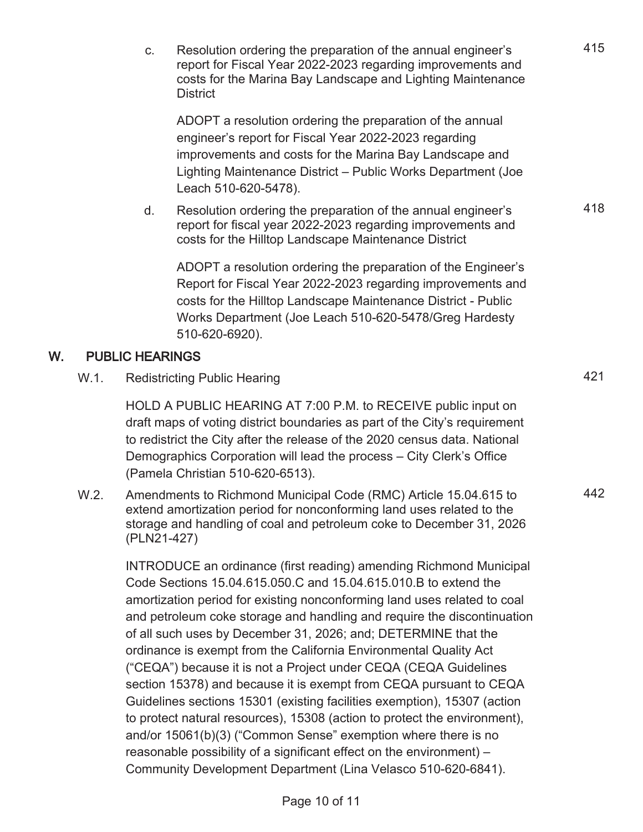c. Resolution ordering the preparation of the annual engineer's report for Fiscal Year 2022-2023 regarding improvements and costs for the Marina Bay Landscape and Lighting Maintenance **District** 

ADOPT a resolution ordering the preparation of the annual engineer's report for Fiscal Year 2022-2023 regarding improvements and costs for the Marina Bay Landscape and Lighting Maintenance District – Public Works Department (Joe Leach 510-620-5478).

d. Resolution ordering the preparation of the annual engineer's report for fiscal year 2022-2023 regarding improvements and costs for the Hilltop Landscape Maintenance District

ADOPT a resolution ordering the preparation of the Engineer's Report for Fiscal Year 2022-2023 regarding improvements and costs for the Hilltop Landscape Maintenance District - Public Works Department (Joe Leach 510-620-5478/Greg Hardesty 510-620-6920).

### W. PUBLIC HEARINGS

W.1. Redistricting Public Hearing 421

HOLD A PUBLIC HEARING AT 7:00 P.M. to RECEIVE public input on draft maps of voting district boundaries as part of the City's requirement to redistrict the City after the release of the 2020 census data. National Demographics Corporation will lead the process – City Clerk's Office (Pamela Christian 510-620-6513).

W.2. Amendments to Richmond Municipal Code (RMC) Article 15.04.615 to extend amortization period for nonconforming land uses related to the storage and handling of coal and petroleum coke to December 31, 2026 (PLN21-427)

> INTRODUCE an ordinance (first reading) amending Richmond Municipal Code Sections 15.04.615.050.C and 15.04.615.010.B to extend the amortization period for existing nonconforming land uses related to coal and petroleum coke storage and handling and require the discontinuation of all such uses by December 31, 2026; and; DETERMINE that the ordinance is exempt from the California Environmental Quality Act ("CEQA") because it is not a Project under CEQA (CEQA Guidelines section 15378) and because it is exempt from CEQA pursuant to CEQA Guidelines sections 15301 (existing facilities exemption), 15307 (action to protect natural resources), 15308 (action to protect the environment), and/or 15061(b)(3) ("Common Sense" exemption where there is no reasonable possibility of a significant effect on the environment) – Community Development Department (Lina Velasco 510-620-6841).

418

442